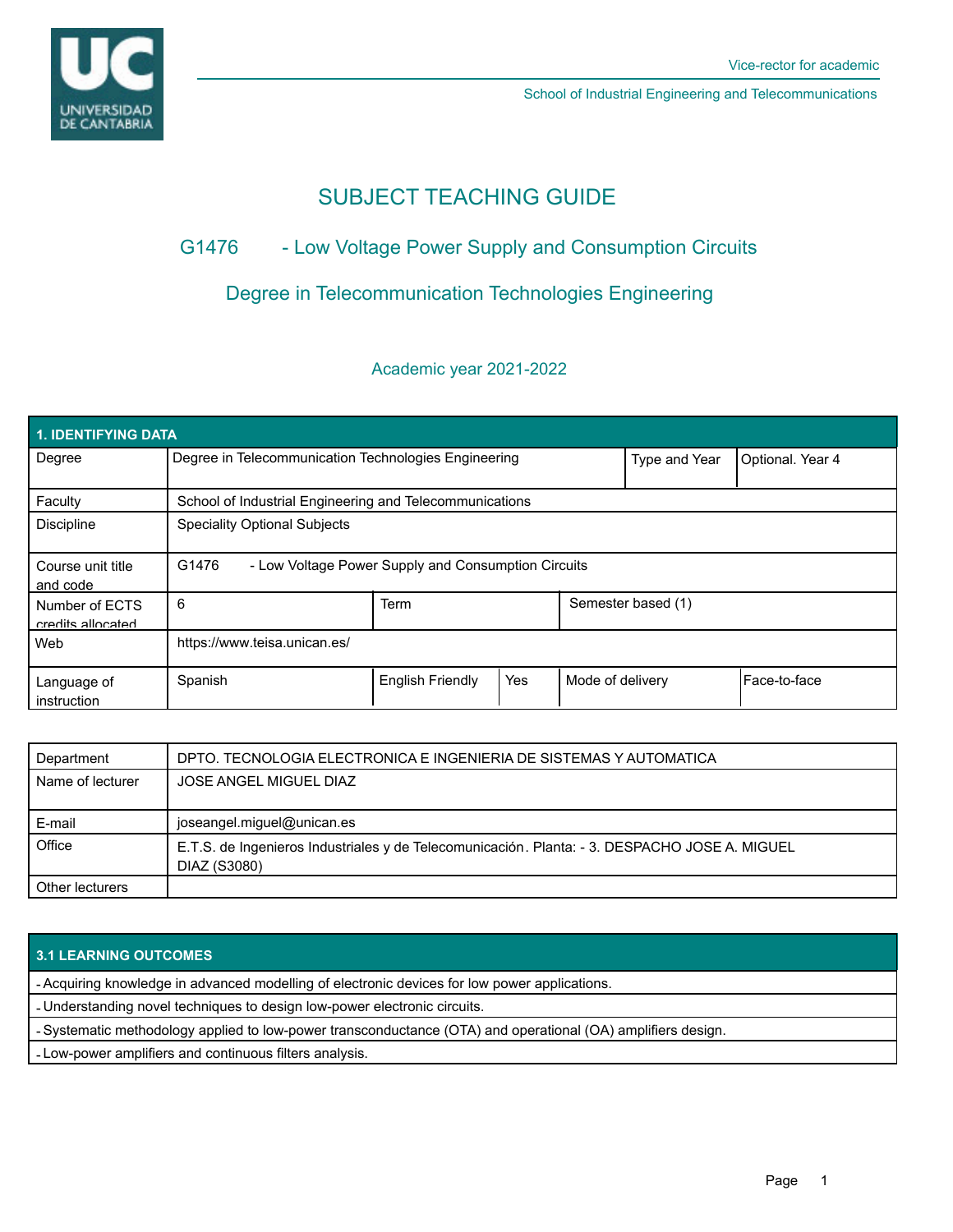

School of Industrial Engineering and Telecommunications

# SUBJECT TEACHING GUIDE

## G1476 - Low Voltage Power Supply and Consumption Circuits

## Degree in Telecommunication Technologies Engineering

### Academic year 2021-2022

| <b>1. IDENTIFYING DATA</b>          |                                                              |                         |     |                    |                  |              |  |  |  |
|-------------------------------------|--------------------------------------------------------------|-------------------------|-----|--------------------|------------------|--------------|--|--|--|
| Degree                              | Degree in Telecommunication Technologies Engineering         |                         |     | Type and Year      | Optional. Year 4 |              |  |  |  |
| Faculty                             | School of Industrial Engineering and Telecommunications      |                         |     |                    |                  |              |  |  |  |
| <b>Discipline</b>                   | <b>Speciality Optional Subjects</b>                          |                         |     |                    |                  |              |  |  |  |
| Course unit title<br>and code       | G1476<br>- Low Voltage Power Supply and Consumption Circuits |                         |     |                    |                  |              |  |  |  |
| Number of ECTS<br>credits allocated | 6                                                            | Term                    |     | Semester based (1) |                  |              |  |  |  |
| Web                                 | https://www.teisa.unican.es/                                 |                         |     |                    |                  |              |  |  |  |
| Language of<br>instruction          | Spanish                                                      | <b>English Friendly</b> | Yes | Mode of delivery   |                  | Face-to-face |  |  |  |

| Department       | DPTO. TECNOLOGIA ELECTRONICA E INGENIERIA DE SISTEMAS Y AUTOMATICA                                            |  |  |
|------------------|---------------------------------------------------------------------------------------------------------------|--|--|
| Name of lecturer | JOSE ANGEL MIGUEL DIAZ                                                                                        |  |  |
|                  |                                                                                                               |  |  |
| E-mail           | joseangel.miguel@unican.es                                                                                    |  |  |
| Office           | E.T.S. de Ingenieros Industriales y de Telecomunicación. Planta: - 3. DESPACHO JOSE A. MIGUEL<br>DIAZ (S3080) |  |  |
| Other lecturers  |                                                                                                               |  |  |

### **3.1 LEARNING OUTCOMES**

- Acquiring knowledge in advanced modelling of electronic devices for low power applications.

- Understanding novel techniques to design low-power electronic circuits.

- Systematic methodology applied to low-power transconductance (OTA) and operational (OA) amplifiers design.

- Low-power amplifiers and continuous filters analysis.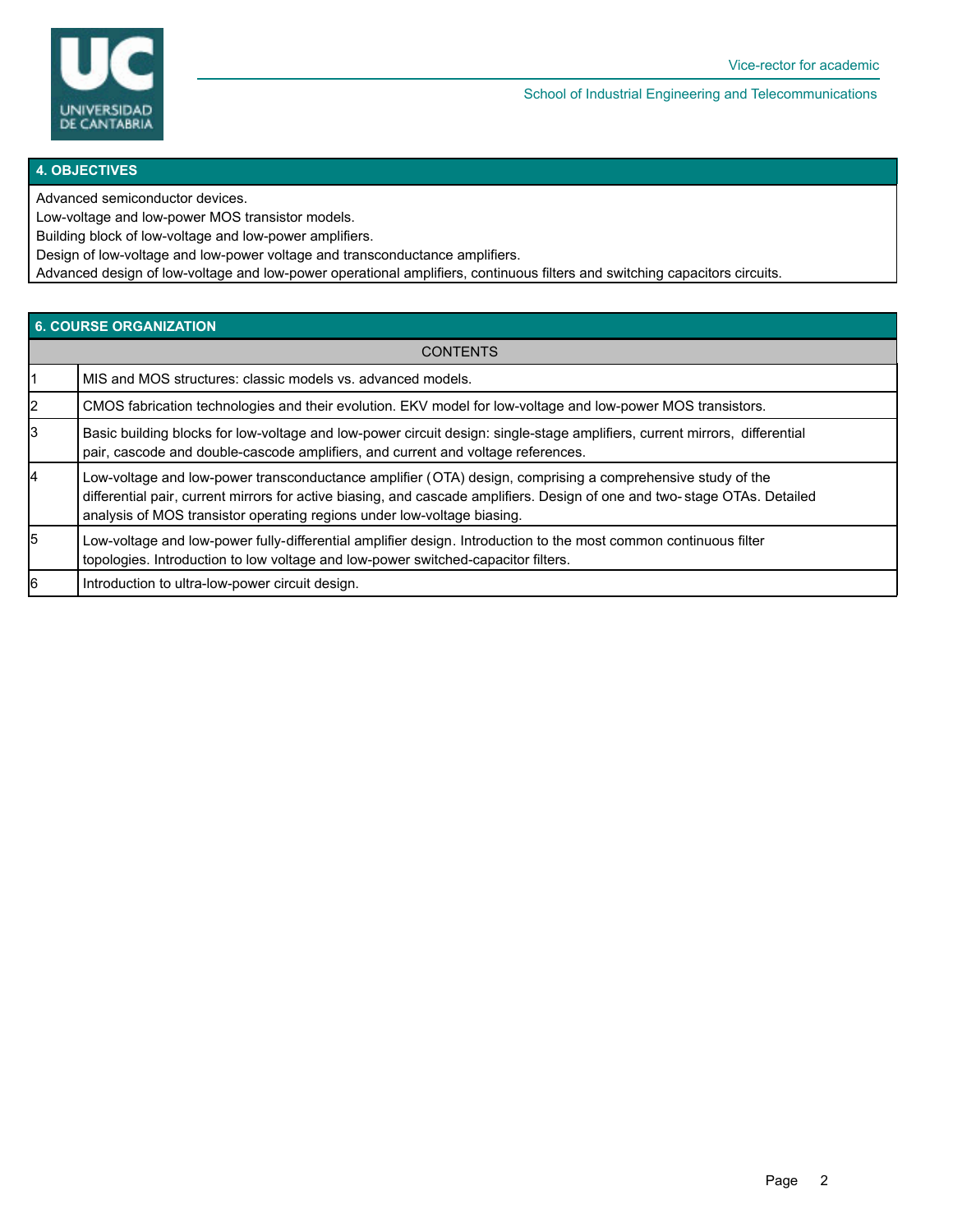

School of Industrial Engineering and Telecommunications

#### **4. OBJECTIVES**

Advanced semiconductor devices.

Low-voltage and low-power MOS transistor models.

Building block of low-voltage and low-power amplifiers.

Design of low-voltage and low-power voltage and transconductance amplifiers.

Advanced design of low-voltage and low-power operational amplifiers, continuous filters and switching capacitors circuits.

#### **6. COURSE ORGANIZATION**

| <b>CONTENTS</b> |                                                                                                                                                                                                                                                                                                                    |  |  |  |
|-----------------|--------------------------------------------------------------------------------------------------------------------------------------------------------------------------------------------------------------------------------------------------------------------------------------------------------------------|--|--|--|
|                 | MIS and MOS structures: classic models vs. advanced models.                                                                                                                                                                                                                                                        |  |  |  |
|                 | CMOS fabrication technologies and their evolution. EKV model for low-voltage and low-power MOS transistors.                                                                                                                                                                                                        |  |  |  |
| 3               | Basic building blocks for low-voltage and low-power circuit design: single-stage amplifiers, current mirrors, differential<br>pair, cascode and double-cascode amplifiers, and current and voltage references.                                                                                                     |  |  |  |
| 4               | Low-voltage and low-power transconductance amplifier (OTA) design, comprising a comprehensive study of the<br>differential pair, current mirrors for active biasing, and cascade amplifiers. Design of one and two-stage OTAs. Detailed<br>analysis of MOS transistor operating regions under low-voltage biasing. |  |  |  |
| 5               | Low-voltage and low-power fully-differential amplifier design. Introduction to the most common continuous filter<br>topologies. Introduction to low voltage and low-power switched-capacitor filters.                                                                                                              |  |  |  |
| 6               | Introduction to ultra-low-power circuit design.                                                                                                                                                                                                                                                                    |  |  |  |